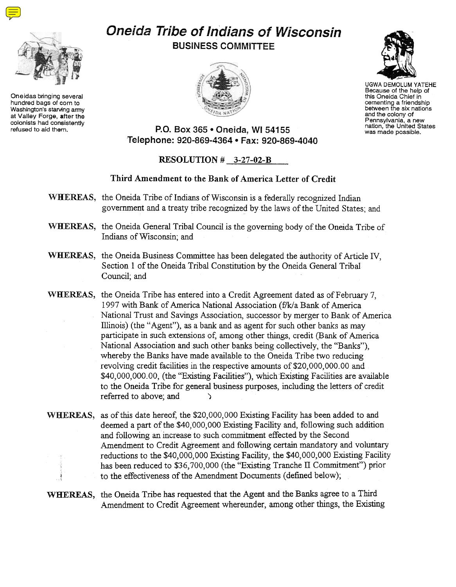

Oneidas bringing several hundred bags of corn to Washington's starving army at Valley Forge, after the colonists had consistently<br>refused to aid them.

## Oneida Tribe of Indians of Wisconsin BUSINESS COMMITTEE





UGWA DEMOLUM YATEHE Because of the help of this Oneida Chief in cementing a friendship<br>between the six nation and the colony of Pennsylvania, a new nation, the United States was made possible.

P.O. Box 365 · Oneida, WI 54155 Telephone: 920-869-4364 . Fax: 920-869-4040

## RESOLUTION # 3-27-02-B

## Third Amendment to the Bank of America Letter of Credit

- WHEREAS, the Oneida Tribe of Indians of Wisconsin is a federally recognized Indian government and a treaty tribe recognized by the laws of the United States; and
- WHEREAS, the Oneida General Tribal Council is the governing body of the Oneida Tribe of Indians of Wisconsin; and
- WHEREAS, the Oneida Business Committee has been delegated the authority of Article IV, Section 1 of the Oneida Tribal Constitution by the Oneida General Tribal Council; and
- WHEREAS, the Oneida Tribe has entered into a Credit Agreement dated as of February 7, 1997 with Bank of America National Association (f/k/a Bank of America National Trust and Savings Association, successor by merger to Bank of America Illinois) (the" Agent"), as a bank and as agent for such other banks as may participate in such extensions of; among other things, credit (Bank of America National Association and such other banks being collectively, the "Banks"), whereby the Banks have made available to the Oneida Tribe two reducing revolving credit facilities in the respective amounts of \$20,000,000.00 and \$40,000,000.00, (the "Existing Facilities"), which Existing Facilities are available to the Oneida Tribe for general business purposes, including the letters of credit referred to above; and )
- WHEREAS, as of this date hereof, the \$20,000,000 Existing Facility has been added to and deemed a part of the \$40,000,000 Existing Facility and, following such addition and following an increase to such commitment effected by the Second Amendment to Credit Agreement and following certain mandatory and voluntary reductions to the \$40,000,000 Existing Facility, the \$40,000,000 Existing Facility has been reduced to \$36,700,000 (the "Existing Tranche II Commitment") prior to the effectiveness of the Amendment Documents (defined below);
- WHEREAS, the Oneida Tribe has requested that the Agent and the Banks agree to a Third Amendment to Credit Agreement whereunder, among other things, the Existing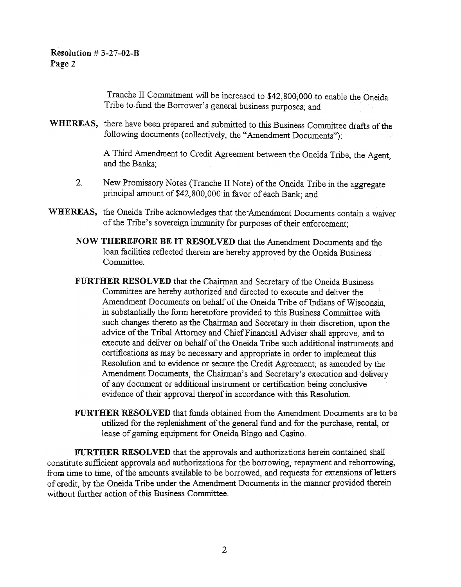Tranche II Commitment will be increased to \$42,800,000 to enable the Oneida Tribe to fund the Borrower's general business purposes; and

WHEREAS, there have been prepared and submitted to this Business Committee drafts of the following documents (collectively, the "Amendment Documents"):

> A Third Amendment to Credit Agreement between the Oneida Tribe, the Agent, and the Banks;

- 2 New Promissory Notes (Tranche II Note) of the Oneida Tribe in the aggregate principal amount of \$42,800,000 in favor of each Bank; and
- WHEREAS, the Oneida Tribe acknowledges that the-Amendment Documents contain a waiver of the Tribe's sovereign immunity for purposes of their enforcement;
	- NOW THEREFORE BE IT RESOLVED that the Amendment Documents and the loan facilities reflected therein are hereby approved by the Oneida Business Committee.
	- FURTHER RESOLVED that the Chairman and Secretary of the Oneida Business Committee are hereby authorized and directed to execute and deliver the Amendment Documents on behalf of the Oneida Tribe of Indians of Wisconsin, in substantially the form heretofore provided to this Business Committee with such changes thereto as the Chairman and Secretary in their discretion, upon the advice of the Tribal Attomey and Chief Financial Adviser shall approve, and to execute and deliver on behalf of the Oneida Tribe such additional instruments and certifications as may be necessary and appropriate in order to implement this Resolution and to evidence or secure the Credit Agreement, as amended by the Amendment Documents, the Chairman's and Secretary's execution and delivery of any document or additional instrument or certification being conclusive evidence of their approval thereof in accordance with this Resolution.
	- FURTHER RESOLVED that funds obtained from the Amendment Documents are to be utilized for the replenishment of the general fund and for the purchase, rental, or lease of gaming equipment for Oneida Bingo and Casino.

FURTHER RESOLVED that the approvals and authorizations herein contained shall constitute sufficient approvals and authorizations for the borrowing, repayment and reborrowing, from time to time, of the amounts available to be borrowed, and requests for extensions of letters of credit, by the Oneida Tribe under the Amendment Documents in the manner provided therein without further action of this Business Committee.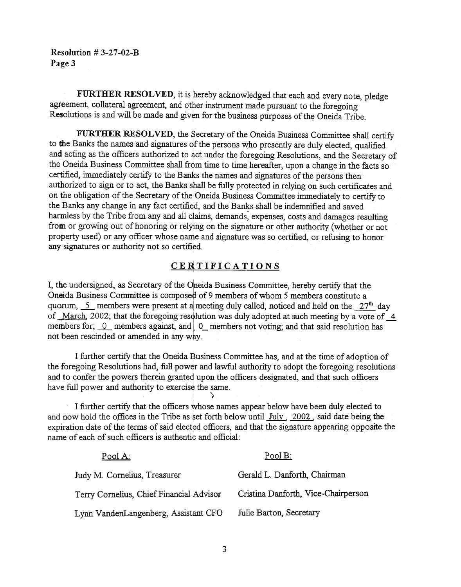Resolution # 3-27-02-B Page 3

FURTHER RESOLVED, it is hereby acknowledged that each and every note, pledge agreement, collateral agreement, and other instrument made pursuant to the foregoing Resolutions is and will be made and given for the business purposes of the Oneida Tribe.

FURTHER RESOLVED, the Secretary of the Oneida Business Committee shall certify to the Banks the names and signatures of the persons who presently are duly elected, qualified and acting as the officers authorized to act under the foregoing Resolutions, and the Secretary of the Oneida Business Committee shall from time to time hereafter, upon a change in the facts so certified, immediately certify to the Banks the names and signatures of the persons then authorized to sign or to act, the Banks shall be fully protected in relying on such certificates and on the obligation of the Secretary of the Oneida Business Committee immediately to certify to the Banks any change in any fact certified, and the Banks shall be indemnified and saved harmless by the Tribe from any and all claims, demands, expenses, costs and damages resulting from or growing out of honoring or relying on the signature or other authority (whether or not property used) or any officer whose name and signature was so certified, or refusing to honor any signatures or authority not so certified.

## **CERTIFICATIONS**

I, the undersigned, as Secretary of the Opeida Business Committee, hereby certify that the Oneida Business Committee is composed of 9 members of whom 5 members constitute a quorum,  $\leq$  members were present at a meeting duly called, noticed and held on the  $27<sup>th</sup>$  day of March. 2002; that the foregoing resolution was duly adopted at such meeting by a vote of 4. members for;  $\overline{0}$  members against, and  $\overline{0}$  members not voting; and that said resolution has not been rescinded or amended in any way.

I further certify that the Oneida Business Committee has, and at the time of adoption of the foregoing Resolutions had, full power and lawful authority to adopt the foregoing resolutions and to confer the powers therein granted upon the officers designated, and that such officers have full power and authority to exercise the same.

I further certify that the officers whose names appear below have been duly elected to and now hold the offices in the Tribe as set forth below until  $\text{July }$ , 2002, said date being the expiration date of the terms of said elected officers, and that the signature appearing opposite the name of each of such officers is authentic and official:

i )

| Pool A:                                  | $PoolB$ :                           |
|------------------------------------------|-------------------------------------|
| Judy M. Cornelius, Treasurer             | Gerald L. Danforth, Chairman        |
| Terry Cornelius, Chief Financial Advisor | Cristina Danforth, Vice-Chairperson |
| Lynn VandenLangenberg, Assistant CFO     | Julie Barton, Secretary             |